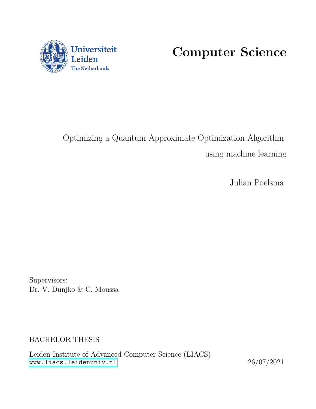

Computer Science

# Optimizing a Quantum Approximate Optimization Algorithm using machine learning

Julian Poelsma

Supervisors: Dr. V. Dunjko & C. Moussa

BACHELOR THESIS

Leiden Institute of Advanced Computer Science (LIACS) <www.liacs.leidenuniv.nl> 26/07/2021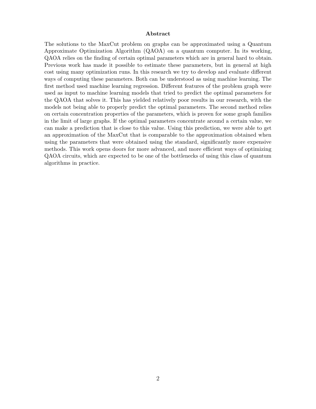#### Abstract

The solutions to the MaxCut problem on graphs can be approximated using a Quantum Approximate Optimization Algorithm (QAOA) on a quantum computer. In its working, QAOA relies on the finding of certain optimal parameters which are in general hard to obtain. Previous work has made it possible to estimate these parameters, but in general at high cost using many optimization runs. In this research we try to develop and evaluate different ways of computing these parameters. Both can be understood as using machine learning. The first method used machine learning regression. Different features of the problem graph were used as input to machine learning models that tried to predict the optimal parameters for the QAOA that solves it. This has yielded relatively poor results in our research, with the models not being able to properly predict the optimal parameters. The second method relies on certain concentration properties of the parameters, which is proven for some graph families in the limit of large graphs. If the optimal parameters concentrate around a certain value, we can make a prediction that is close to this value. Using this prediction, we were able to get an approximation of the MaxCut that is comparable to the approximation obtained when using the parameters that were obtained using the standard, significantly more expensive methods. This work opens doors for more advanced, and more efficient ways of optimizing QAOA circuits, which are expected to be one of the bottlenecks of using this class of quantum algorithms in practice.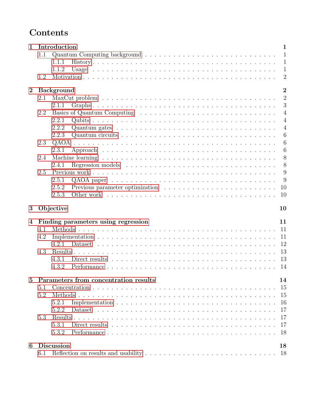## Contents

| $\mathbf{1}$     |     | Introduction<br>$\mathbf{1}$                                                                                               |
|------------------|-----|----------------------------------------------------------------------------------------------------------------------------|
|                  | 1.1 | $\mathbf{1}$                                                                                                               |
|                  |     | $\mathbf{1}$<br>1.1.1                                                                                                      |
|                  |     | $\mathbf{1}$<br>1.1.2                                                                                                      |
|                  | 1.2 | $\overline{2}$                                                                                                             |
| $\overline{2}$   |     | $\overline{2}$<br><b>Background</b>                                                                                        |
|                  | 2.1 | $\overline{2}$                                                                                                             |
|                  |     | 3<br>2.1.1                                                                                                                 |
|                  | 2.2 | $\overline{4}$                                                                                                             |
|                  |     | 2.2.1<br>$\overline{4}$                                                                                                    |
|                  |     |                                                                                                                            |
|                  |     | 2.2.2<br>$\overline{4}$                                                                                                    |
|                  |     | 6<br>2.2.3                                                                                                                 |
|                  | 2.3 | 6                                                                                                                          |
|                  |     | 6<br>2.3.1                                                                                                                 |
|                  | 2.4 | 8                                                                                                                          |
|                  |     | 8<br>2.4.1                                                                                                                 |
|                  | 2.5 | 9                                                                                                                          |
|                  |     | 9<br>2.5.1                                                                                                                 |
|                  |     | 2.5.2<br>10                                                                                                                |
|                  |     | 10<br>2.5.3                                                                                                                |
| 3                |     | Objective<br>10                                                                                                            |
|                  |     |                                                                                                                            |
| $\boldsymbol{4}$ |     | Finding parameters using regression<br>11                                                                                  |
|                  | 4.1 | 11                                                                                                                         |
|                  | 4.2 | 11                                                                                                                         |
|                  |     | 12<br>4.2.1                                                                                                                |
|                  | 4.3 | 13                                                                                                                         |
|                  |     | 13<br>4.3.1                                                                                                                |
|                  |     | 4.3.2<br>14                                                                                                                |
| 5                |     | Parameters from concentration results<br>14                                                                                |
|                  | 5.1 | 15                                                                                                                         |
|                  | 5.2 | 15                                                                                                                         |
|                  |     | 16<br>5.2.1                                                                                                                |
|                  |     |                                                                                                                            |
|                  |     |                                                                                                                            |
|                  |     | 5.2.2<br>17                                                                                                                |
|                  | 5.3 | 17                                                                                                                         |
|                  |     | 17<br>5.3.1<br>Direct results $\ldots \ldots \ldots \ldots \ldots \ldots \ldots \ldots \ldots \ldots \ldots \ldots \ldots$ |
|                  |     | 18<br>5.3.2                                                                                                                |
| 6                | 6.1 | <b>Discussion</b><br>18<br>18                                                                                              |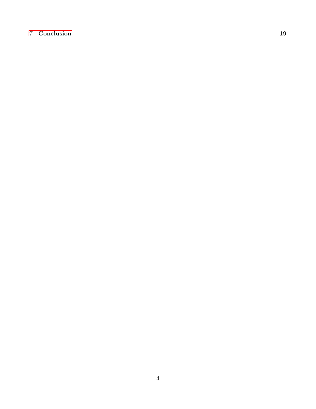### [7 Conclusion](#page-22-0) 19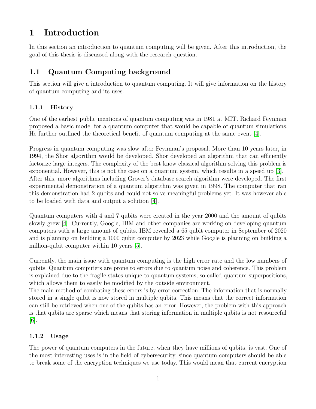## <span id="page-4-0"></span>1 Introduction

In this section an introduction to quantum computing will be given. After this introduction, the goal of this thesis is discussed along with the research question.

## <span id="page-4-1"></span>1.1 Quantum Computing background

This section will give a introduction to quantum computing. It will give information on the history of quantum computing and its uses.

### <span id="page-4-2"></span>1.1.1 History

One of the earliest public mentions of quantum computing was in 1981 at MIT. Richard Feynman proposed a basic model for a quantum computer that would be capable of quantum simulations. He further outlined the theoretical benefit of quantum computing at the same event [\[4\]](#page-24-0).

Progress in quantum computing was slow after Feynman's proposal. More than 10 years later, in 1994, the Shor algorithm would be developed. Shor developed an algorithm that can efficiently factorize large integers. The complexity of the best know classical algorithm solving this problem is exponential. However, this is not the case on a quantum system, which results in a speed up [\[3\]](#page-24-1). After this, more algorithms including Grover's database search algorithm were developed. The first experimental demonstration of a quantum algorithm was given in 1998. The computer that ran this demonstration had 2 qubits and could not solve meaningful problems yet. It was however able to be loaded with data and output a solution [\[4\]](#page-24-0).

Quantum computers with 4 and 7 qubits were created in the year 2000 and the amount of qubits slowly grew [\[4\]](#page-24-0). Currently, Google, IBM and other companies are working on developing quantum computers with a large amount of qubits. IBM revealed a 65 qubit computer in September of 2020 and is planning on building a 1000 qubit computer by 2023 while Google is planning on building a million-qubit computer within 10 years [\[5\]](#page-24-2).

Currently, the main issue with quantum computing is the high error rate and the low numbers of qubits. Quantum computers are prone to errors due to quantum noise and coherence. This problem is explained due to the fragile states unique to quantum systems, so-called quantum superpositions, which allows them to easily be modified by the outside environment.

The main method of combating these errors is by error correction. The information that is normally stored in a single qubit is now stored in multiple qubits. This means that the correct information can still be retrieved when one of the qubits has an error. However, the problem with this approach is that qubits are sparse which means that storing information in multiple qubits is not resourceful [\[6\]](#page-24-3).

### <span id="page-4-3"></span>1.1.2 Usage

The power of quantum computers in the future, when they have millions of qubits, is vast. One of the most interesting uses is in the field of cybersecurity, since quantum computers should be able to break some of the encryption techniques we use today. This would mean that current encryption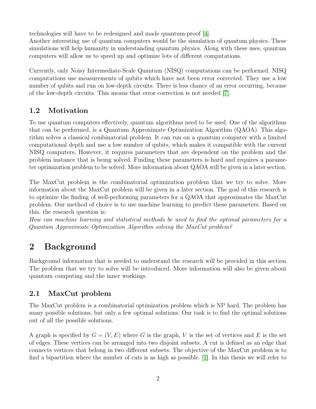technologies will have to be redesigned and made quantum-proof [\[4\]](#page-24-0).

Another interesting use of quantum computers would be the simulation of quantum physics. These simulations will help humanity in understanding quantum physics. Along with these uses, quantum computers will allow us to speed up and optimize lots of different computations.

Currently, only Noisy Intermediate-Scale Quantum (NISQ) computations can be performed. NISQ computations use measurements of qubits which have not been error corrected. They use a low number of qubits and run on low-depth circuits. There is less chance of an error occurring, because of the low-depth circuits. This means that error correction is not needed [\[7\]](#page-24-4).

## <span id="page-5-0"></span>1.2 Motivation

To use quantum computers effectively, quantum algorithms need to be used. One of the algorithms that can be performed, is a Quantum Approximate Optimization Algorithm (QAOA). This algorithm solves a classical combinatorial problem. It can run on a quantum computer with a limited computational depth and use a low number of qubits, which makes it compatible with the current NISQ computers. However, it requires parameters that are dependent on the problem and the problem instance that is being solved. Finding these parameters is hard and requires a parameter optimization problem to be solved. More information about QAOA will be given in a later section.

The MaxCut problem is the combinatorial optimization problem that we try to solve. More information about the MaxCut problem will be given in a later section. The goal of this research is to optimize the finding of well-performing parameters for a QAOA that approximates the MaxCut problem. Our method of choice is to use machine learning to predict these parameters. Based on this, the research question is:

How can machine learning and statistical methods be used to find the optimal parameters for a Quantum Approximate Optimization Algorithm solving the MaxCut problem?

## <span id="page-5-1"></span>2 Background

Background information that is needed to understand the research will be provided in this section. The problem that we try to solve will be introduced. More information will also be given about quantum computing and the inner workings.

## <span id="page-5-2"></span>2.1 MaxCut problem

The MaxCut problem is a combinatorial optimization problem which is NP hard. The problem has many possible solutions, but only a few optimal solutions. Our task is to find the optimal solutions out of all the possible solutions.

A graph is specified by  $G = (V, E)$  where G is the graph, V is the set of vertices and E is the set of edges. These vertices can be arranged into two disjoint subsets. A cut is defined as an edge that connects vertices that belong in two different subsets. The objective of the MaxCut problem is to find a bipartition where the number of cuts is as high as possible. [\[1\]](#page-24-5). In this thesis we will refer to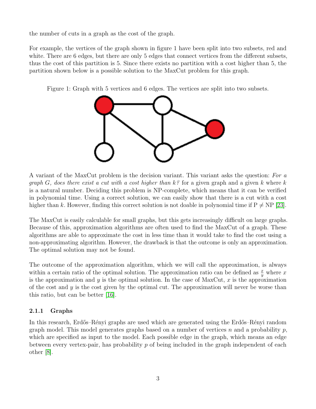the number of cuts in a graph as the cost of the graph.

For example, the vertices of the graph shown in figure 1 have been split into two subsets, red and white. There are 6 edges, but there are only 5 edges that connect vertices from the different subsets, thus the cost of this partition is 5. Since there exists no partition with a cost higher than 5, the partition shown below is a possible solution to the MaxCut problem for this graph.

Figure 1: Graph with 5 vertices and 6 edges. The vertices are split into two subsets.



A variant of the MaxCut problem is the decision variant. This variant asks the question: For a graph G, does there exist a cut with a cost higher than  $k^2$  for a given graph and a given k where k is a natural number. Deciding this problem is NP-complete, which means that it can be verified in polynomial time. Using a correct solution, we can easily show that there is a cut with a cost higher than k. However, finding this correct solution is not doable in polynomial time if  $P \neq NP$  [\[23\]](#page-25-0).

The MaxCut is easily calculable for small graphs, but this gets increasingly difficult on large graphs. Because of this, approximation algorithms are often used to find the MaxCut of a graph. These algorithms are able to approximate the cost in less time than it would take to find the cost using a non-approximating algorithm. However, the drawback is that the outcome is only an approximation. The optimal solution may not be found.

The outcome of the approximation algorithm, which we will call the approximation, is always within a certain ratio of the optimal solution. The approximation ratio can be defined as  $\frac{x}{y}$  where x is the approximation and y is the optimal solution. In the case of MaxCut,  $x$  is the approximation of the cost and  $\gamma$  is the cost given by the optimal cut. The approximation will never be worse than this ratio, but can be better [\[16\]](#page-25-1).

### <span id="page-6-0"></span>2.1.1 Graphs

In this research, Erdős–Rényi graphs are used which are generated using the Erdős–Rényi random graph model. This model generates graphs based on a number of vertices n and a probability  $p$ , which are specified as input to the model. Each possible edge in the graph, which means an edge between every vertex-pair, has probability  $p$  of being included in the graph independent of each other [\[8\]](#page-24-6).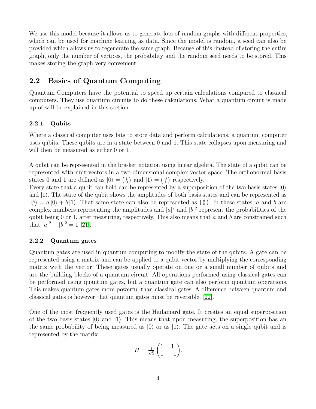We use this model because it allows us to generate lots of random graphs with different properties, which can be used for machine learning as data. Since the model is random, a seed can also be provided which allows us to regenerate the same graph. Because of this, instead of storing the entire graph, only the number of vertices, the probability and the random seed needs to be stored. This makes storing the graph very convenient.

### <span id="page-7-0"></span>2.2 Basics of Quantum Computing

Quantum Computers have the potential to speed up certain calculations compared to classical computers. They use quantum circuits to do these calculations. What a quantum circuit is made up of will be explained in this section.

#### <span id="page-7-1"></span>2.2.1 Qubits

Where a classical computer uses bits to store data and perform calculations, a quantum computer uses qubits. These qubits are in a state between 0 and 1. This state collapses upon measuring and will then be measured as either 0 or 1.

A qubit can be represented in the bra-ket notation using linear algebra. The state of a qubit can be represented with unit vectors in a two-dimensional complex vector space. The orthonormal basis states 0 and 1 are defined as  $|0\rangle = \begin{pmatrix} 1 \\ 0 \end{pmatrix}$  and  $|1\rangle = \begin{pmatrix} 0 \\ 1 \end{pmatrix}$  respectively.

Every state that a qubit can hold can be represented by a superposition of the two basis states  $|0\rangle$ and  $|1\rangle$ . The state of the qubit shows the amplitudes of both basis states and can be represented as  $|\psi\rangle = a |0\rangle + b |1\rangle$ . That same state can also be represented as  $\binom{a}{b}$ . In these states, a and b are complex numbers representing the amplitudes and  $|a|^2$  and  $|b|^2$  represent the probabilities of the qubit being  $0$  or 1, after measuring, respectively. This also means that  $a$  and  $b$  are constrained such that  $|a|^2 + |b|^2 = 1$  [\[21\]](#page-25-2).

#### <span id="page-7-2"></span>2.2.2 Quantum gates

Quantum gates are used in quantum computing to modify the state of the qubits. A gate can be represented using a matrix and can be applied to a qubit vector by multiplying the corresponding matrix with the vector. These gates usually operate on one or a small number of qubits and are the building blocks of a quantum circuit. All operations performed using classical gates can be performed using quantum gates, but a quantum gate can also perform quantum operations. This makes quantum gates more powerful than classical gates. A difference between quantum and classical gates is however that quantum gates must be reversible. [\[22\]](#page-25-3).

One of the most frequently used gates is the Hadamard gate. It creates an equal superposition of the two basis states  $|0\rangle$  and  $|1\rangle$ . This means that upon measuring, the superposition has an the same probability of being measured as  $|0\rangle$  or as  $|1\rangle$ . The gate acts on a single qubit and is represented by the matrix

$$
H = \frac{1}{\sqrt{2}} \begin{pmatrix} 1 & 1 \\ 1 & -1 \end{pmatrix}.
$$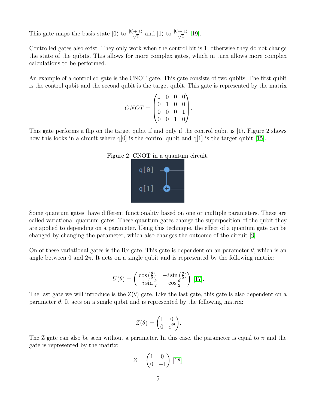This gate maps the basis state  $|0\rangle$  to  $\frac{|0\rangle+|1\rangle}{\sqrt{2}}$  and  $|1\rangle$  to  $\frac{|0\rangle-|1\rangle}{\sqrt{2}}$  [\[19\]](#page-25-4).

Controlled gates also exist. They only work when the control bit is 1, otherwise they do not change the state of the qubits. This allows for more complex gates, which in turn allows more complex calculations to be performed.

An example of a controlled gate is the CNOT gate. This gate consists of two qubits. The first qubit is the control qubit and the second qubit is the target qubit. This gate is represented by the matrix

$$
CNOT = \begin{pmatrix} 1 & 0 & 0 & 0 \\ 0 & 1 & 0 & 0 \\ 0 & 0 & 0 & 1 \\ 0 & 0 & 1 & 0 \end{pmatrix}.
$$

This gate performs a flip on the target qubit if and only if the control qubit is  $|1\rangle$ . Figure 2 shows how this looks in a circuit where  $q[0]$  is the control qubit and  $q[1]$  is the target qubit [\[15\]](#page-25-5).





Some quantum gates, have different functionality based on one or multiple parameters. These are called variational quantum gates. These quantum gates change the superposition of the qubit they are applied to depending on a parameter. Using this technique, the effect of a quantum gate can be changed by changing the parameter, which also changes the outcome of the circuit [\[9\]](#page-24-7).

On of these variational gates is the Rx gate. This gate is dependent on an parameter  $\theta$ , which is an angle between 0 and  $2\pi$ . It acts on a single qubit and is represented by the following matrix:

$$
U(\theta) = \begin{pmatrix} \cos\left(\frac{\theta}{2}\right) & -i\sin\left(\frac{\theta}{2}\right) \\ -i\sin\frac{\theta}{2} & \cos\frac{\theta}{2} \end{pmatrix} [17].
$$

The last gate we will introduce is the  $Z(\theta)$  gate. Like the last gate, this gate is also dependent on a parameter  $\theta$ . It acts on a single qubit and is represented by the following matrix:

$$
Z(\theta) = \begin{pmatrix} 1 & 0 \\ 0 & e^{i\theta} \end{pmatrix}.
$$

The Z gate can also be seen without a parameter. In this case, the parameter is equal to  $\pi$  and the gate is represented by the matrix:

$$
Z = \begin{pmatrix} 1 & 0 \\ 0 & -1 \end{pmatrix} [18].
$$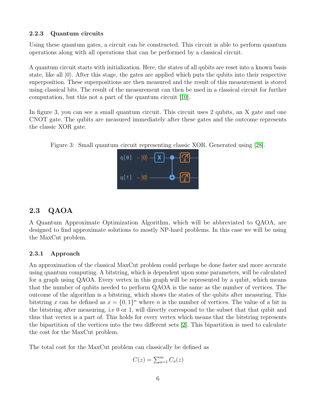#### <span id="page-9-0"></span>2.2.3 Quantum circuits

Using these quantum gates, a circuit can be constructed. This circuit is able to perform quantum operations along with all operations that can be performed by a classical circuit.

A quantum circuit starts with initialization. Here, the states of all qubits are reset into a known basis state, like all  $|0\rangle$ . After this stage, the gates are applied which puts the qubits into their respective superposition. These superpositions are then measured and the result of this measurement is stored using classical bits. The result of the measurement can then be used in a classical circuit for further computation, but this not a part of the quantum circuit [\[10\]](#page-24-8).

In figure 3, you can see a small quantum circuit. This circuit uses 2 qubits, an X gate and one CNOT gate. The qubits are measured immediately after these gates and the outcome represents the classic XOR gate.

Figure 3: Small quantum circuit representing classic XOR. Generated using [\[28\]](#page-25-8).



### <span id="page-9-1"></span>2.3 QAOA

A Quantum Approximate Optimization Algorithm, which will be abbreviated to QAOA, are designed to find approximate solutions to mostly NP-hard problems. In this case we will be using the MaxCut problem.

#### <span id="page-9-2"></span>2.3.1 Approach

An approximation of the classical MaxCut problem could perhaps be done faster and more accurate using quantum computing. A bitstring, which is dependent upon some parameters, will be calculated for a graph using QAOA. Every vertex in this graph will be represented by a qubit, which means that the number of qubits needed to perform QAOA is the same as the number of vertices. The outcome of the algorithm is a bitstring, which shows the states of the qubits after measuring. This bitstring x can be defined as  $x = \{0, 1\}^n$  where n is the number of vertices. The value of a bit in the bitstring after measuring, i.e 0 or 1, will directly correspond to the subset that that qubit and thus that vertex is a part of. This holds for every vertex which means that the bitstring represents the bipartition of the vertices into the two different sets [\[2\]](#page-24-9). This bipartition is used to calculate the cost for the MaxCut problem.

The total cost for the MaxCut problem can classically be defined as

$$
C(z) = \sum_{a=1}^{m} C_a(z)
$$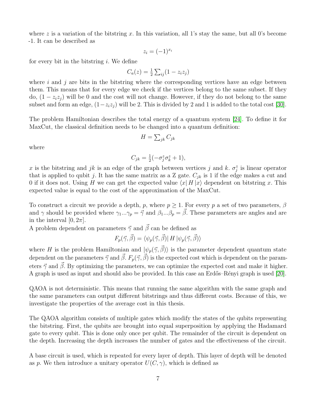where z is a variation of the bitstring x. In this variation, all 1's stay the same, but all 0's become -1. It can be described as

$$
z_i = (-1)^{x_i}
$$

for every bit in the bitstring  $i$ . We define

$$
C_a(z) = \frac{1}{2} \sum_{ij} (1 - z_i z_j)
$$

where  $i$  and  $j$  are bits in the bitstring where the corresponding vertices have an edge between them. This means that for every edge we check if the vertices belong to the same subset. If they do,  $(1 - z_i z_j)$  will be 0 and the cost will not change. However, if they do not belong to the same subset and form an edge,  $(1-z_iz_j)$  will be 2. This is divided by 2 and 1 is added to the total cost [\[30\]](#page-26-0).

The problem Hamiltonian describes the total energy of a quantum system [\[24\]](#page-25-9). To define it for MaxCut, the classical definition needs to be changed into a quantum definition:

$$
H = \sum_{jk} C_{jk}
$$

where

$$
C_{jk} = \frac{1}{2}(-\sigma_j^z \sigma_k^z + 1),
$$

x is the bitstring and jk is an edge of the graph between vertices j and k.  $\sigma_j^z$  is linear operator that is applied to qubit j. It has the same matrix as a Z gate.  $C_{jk}$  is 1 if the edge makes a cut and 0 if it does not. Using H we can get the expected value  $\langle x| H |x \rangle$  dependent on bitstring x. This expected value is equal to the cost of the approximation of the MaxCut.

To construct a circuit we provide a depth, p, where  $p \geq 1$ . For every p a set of two parameters,  $\beta$ and  $\gamma$  should be provided where  $\gamma_1...\gamma_p = \vec{\gamma}$  and  $\beta_1...\beta_p = \vec{\beta}$ . These parameters are angles and are in the interval  $[0, 2\pi]$ .

A problem dependent on parameters  $\vec{\gamma}$  and  $\vec{\beta}$  can be defined as

$$
F_p(\vec{\gamma}, \vec{\beta}) = \langle \psi_p(\vec{\gamma}, \vec{\beta}) | H | \psi_p(\vec{\gamma}, \vec{\beta}) \rangle
$$

where H is the problem Hamiltonian and  $|\psi_p(\vec{\gamma}, \vec{\beta})\rangle$  is the parameter dependent quantum state dependent on the parameters  $\vec{\gamma}$  and  $\vec{\beta}$ .  $F_p(\vec{\gamma}, \vec{\beta})$  is the expected cost which is dependent on the parameters  $\vec{\gamma}$  and  $\vec{\beta}$ . By optimizing the parameters, we can optimize the expected cost and make it higher. A graph is used as input and should also be provided. In this case an Erdős–Rényi graph is used [\[20\]](#page-25-10).

QAOA is not deterministic. This means that running the same algorithm with the same graph and the same parameters can output different bitstrings and thus different costs. Because of this, we investigate the properties of the average cost in this thesis.

The QAOA algorithm consists of multiple gates which modify the states of the qubits representing the bitstring. First, the qubits are brought into equal superposition by applying the Hadamard gate to every qubit. This is done only once per qubit. The remainder of the circuit is dependent on the depth. Increasing the depth increases the number of gates and the effectiveness of the circuit.

A base circuit is used, which is repeated for every layer of depth. This layer of depth will be denoted as p. We then introduce a unitary operator  $U(C, \gamma)$ , which is defined as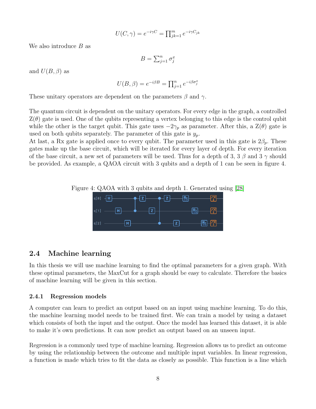$$
U(C, \gamma) = e^{-i\gamma C} = \prod_{j k = 1}^{m} e^{-i\gamma C_{jk}}
$$

We also introduce  $B$  as

$$
B = \sum_{j=1}^{n} \sigma_j^x
$$

and  $U(B, \beta)$  as

$$
U(B, \beta) = e^{-i\beta B} = \prod_{j=1}^{n} e^{-i\beta \sigma_j^x}
$$

These unitary operators are dependent on the parameters  $\beta$  and  $\gamma$ .

The quantum circuit is dependent on the unitary operators. For every edge in the graph, a controlled  $Z(\theta)$  gate is used. One of the qubits representing a vertex belonging to this edge is the control qubit while the other is the target qubit. This gate uses  $-2\gamma_p$  as parameter. After this, a  $\mathcal{Z}(\theta)$  gate is used on both qubits separately. The parameter of this gate is  $y_p$ .

At last, a Rx gate is applied once to every qubit. The parameter used in this gate is  $2\beta_p$ . These gates make up the base circuit, which will be iterated for every layer of depth. For every iteration of the base circuit, a new set of parameters will be used. Thus for a depth of 3, 3  $\beta$  and 3  $\gamma$  should be provided. As example, a QAOA circuit with 3 qubits and a depth of 1 can be seen in figure 4.





### <span id="page-11-0"></span>2.4 Machine learning

In this thesis we will use machine learning to find the optimal parameters for a given graph. With these optimal parameters, the MaxCut for a graph should be easy to calculate. Therefore the basics of machine learning will be given in this section.

#### <span id="page-11-1"></span>2.4.1 Regression models

A computer can learn to predict an output based on an input using machine learning. To do this, the machine learning model needs to be trained first. We can train a model by using a dataset which consists of both the input and the output. Once the model has learned this dataset, it is able to make it's own predictions. It can now predict an output based on an unseen input.

Regression is a commonly used type of machine learning. Regression allows us to predict an outcome by using the relationship between the outcome and multiple input variables. In linear regression, a function is made which tries to fit the data as closely as possible. This function is a line which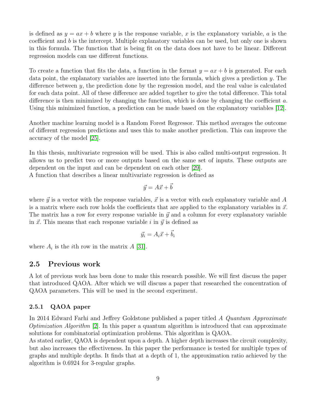is defined as  $y = ax + b$  where y is the response variable, x is the explanatory variable, a is the coefficient and b is the intercept. Multiple explanatory variables can be used, but only one is shown in this formula. The function that is being fit on the data does not have to be linear. Different regression models can use different functions.

To create a function that fits the data, a function in the format  $y = ax + b$  is generated. For each data point, the explanatory variables are inserted into the formula, which gives a prediction y. The difference between y, the prediction done by the regression model, and the real value is calculated for each data point. All of these difference are added together to give the total difference. This total difference is then minimized by changing the function, which is done by changing the coefficient  $a$ . Using this minimized function, a prediction can be made based on the explanatory variables [\[12\]](#page-24-10).

Another machine learning model is a Random Forest Regressor. This method averages the outcome of different regression predictions and uses this to make another prediction. This can improve the accuracy of the model [\[25\]](#page-25-11).

In this thesis, multivariate regression will be used. This is also called multi-output regression. It allows us to predict two or more outputs based on the same set of inputs. These outputs are dependent on the input and can be dependent on each other [\[29\]](#page-26-1).

A function that describes a linear multivariate regression is defined as

$$
\vec{y} = A\vec{x} + \vec{b}
$$

where  $\vec{y}$  is a vector with the response variables,  $\vec{x}$  is a vector with each explanatory variable and A is a matrix where each row holds the coefficients that are applied to the explanatory variables in  $\vec{x}$ . The matrix has a row for every response variable in  $\vec{y}$  and a column for every explanatory variable in  $\vec{x}$ . This means that each response variable i in  $\vec{y}$  is defined as

$$
\vec{y_i} = A_i \vec{x} + \vec{b_i}
$$

where  $A_i$  is the *i*th row in the matrix  $A$  [\[31\]](#page-26-2).

#### <span id="page-12-0"></span>2.5 Previous work

A lot of previous work has been done to make this research possible. We will first discuss the paper that introduced QAOA. After which we will discuss a paper that researched the concentration of QAOA parameters. This will be used in the second experiment.

#### <span id="page-12-1"></span>2.5.1 QAOA paper

In 2014 Edward Farhi and Jeffrey Goldstone published a paper titled A Quantum Approximate *Optimization Algorithm* [\[2\]](#page-24-9). In this paper a quantum algorithm is introduced that can approximate solutions for combinatorial optimization problems. This algorithm is QAOA.

As stated earlier, QAOA is dependent upon a depth. A higher depth increases the circuit complexity, but also increases the effectiveness. In this paper the performance is tested for multiple types of graphs and multiple depths. It finds that at a depth of 1, the approximation ratio achieved by the algorithm is 0.6924 for 3-regular graphs.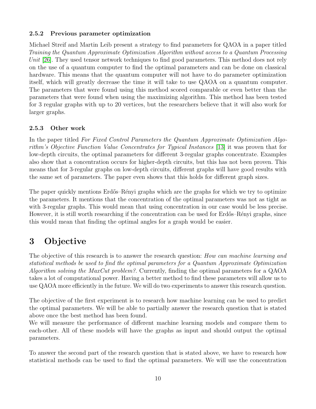#### <span id="page-13-0"></span>2.5.2 Previous parameter optimization

Michael Streif and Martin Leib present a strategy to find parameters for QAOA in a paper titled Training the Quantum Approximate Optimization Algorithm without access to a Quantum Processing Unit [\[26\]](#page-25-12). They used tensor network techniques to find good parameters. This method does not rely on the use of a quantum computer to find the optimal parameters and can be done on classical hardware. This means that the quantum computer will not have to do parameter optimization itself, which will greatly decrease the time it will take to use QAOA on a quantum computer. The parameters that were found using this method scored comparable or even better than the parameters that were found when using the maximizing algorithm. This method has been tested for 3 regular graphs with up to 20 vertices, but the researchers believe that it will also work for larger graphs.

#### <span id="page-13-1"></span>2.5.3 Other work

In the paper titled For Fixed Control Parameters the Quantum Approximate Optimization Algorithm's Objective Function Value Concentrates for Typical Instances [\[13\]](#page-24-11) it was proven that for low-depth circuits, the optimal parameters for different 3-regular graphs concentrate. Examples also show that a concentration occurs for higher-depth circuits, but this has not been proven. This means that for 3-regular graphs on low-depth circuits, different graphs will have good results with the same set of parameters. The paper even shows that this holds for different graph sizes.

The paper quickly mentions Erdős–Rényi graphs which are the graphs for which we try to optimize the parameters. It mentions that the concentration of the optimal parameters was not as tight as with 3-regular graphs. This would mean that using concentration in our case would be less precise. However, it is still worth researching if the concentration can be used for Erdős–Rényi graphs, since this would mean that finding the optimal angles for a graph would be easier.

## <span id="page-13-2"></span>3 Objective

The objective of this research is to answer the research question: How can machine learning and statistical methods be used to find the optimal parameters for a Quantum Approximate Optimization Algorithm solving the MaxCut problem? Currently, finding the optimal parameters for a QAOA takes a lot of computational power. Having a better method to find these parameters will allow us to use QAOA more efficiently in the future. We will do two experiments to answer this research question.

The objective of the first experiment is to research how machine learning can be used to predict the optimal parameters. We will be able to partially answer the research question that is stated above once the best method has been found.

We will measure the performance of different machine learning models and compare them to each-other. All of these models will have the graphs as input and should output the optimal parameters.

To answer the second part of the research question that is stated above, we have to research how statistical methods can be used to find the optimal parameters. We will use the concentration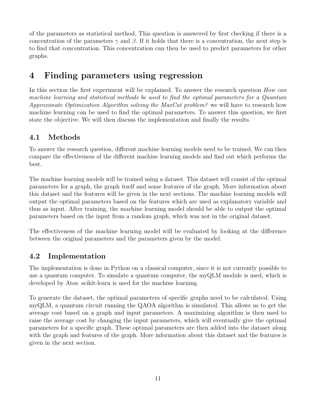of the parameters as statistical method. This question is answered by first checking if there is a concentration of the parameters  $\gamma$  and  $\beta$ . If it holds that there is a concentration, the next step is to find that concentration. This concentration can then be used to predict parameters for other graphs.

## <span id="page-14-0"></span>4 Finding parameters using regression

In this section the first experiment will be explained. To answer the research question How can machine learning and statistical methods be used to find the optimal parameters for a Quantum Approximate Optimization Algorithm solving the MaxCut problem? we will have to research how machine learning can be used to find the optimal parameters. To answer this question, we first state the objective. We will then discuss the implementation and finally the results.

## <span id="page-14-1"></span>4.1 Methods

To answer the research question, different machine learning models need to be trained. We can then compare the effectiveness of the different machine learning models and find out which performs the best.

The machine learning models will be trained using a dataset. This dataset will consist of the optimal parameters for a graph, the graph itself and some features of the graph. More information about this dataset and the features will be given in the next sections. The machine learning models will output the optimal parameters based on the features which are used as explanatory variable and thus as input. After training, the machine learning model should be able to output the optimal parameters based on the input from a random graph, which was not in the original dataset.

The effectiveness of the machine learning model will be evaluated by looking at the difference between the original parameters and the parameters given by the model.

## <span id="page-14-2"></span>4.2 Implementation

The implementation is done in Python on a classical computer, since it is not currently possible to use a quantum computer. To simulate a quantum computer, the myQLM module is used, which is developed by Atos. scikit-learn is used for the machine learning.

To generate the dataset, the optimal parameters of specific graphs need to be calculated. Using myQLM, a quantum circuit running the QAOA algorithm is simulated. This allows us to get the average cost based on a graph and input parameters. A maximizing algorithm is then used to raise the average cost by changing the input parameters, which will eventually give the optimal parameters for a specific graph. These optimal parameters are then added into the dataset along with the graph and features of the graph. More information about this dataset and the features is given in the next section.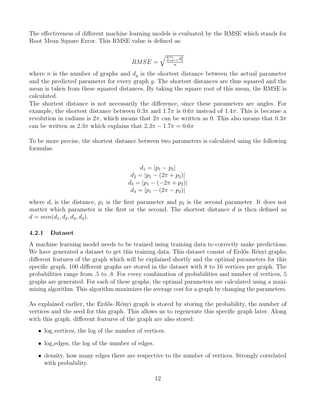The effectiveness of different machine learning models is evaluated by the RMSE which stands for Root Mean Square Error. This RMSE value is defined as:

$$
RMSE = \sqrt{\frac{\sum_{g=1}^{n} d_g^2}{n}}
$$

where *n* is the number of graphs and  $d<sub>q</sub>$  is the shortest distance between the actual parameter and the predicted parameter for every graph g. The shortest distances are thus squared and the mean is taken from these squared distances. By taking the square root of this mean, the RMSE is calculated.

The shortest distance is not necessarily the difference, since these parameters are angles. For example, the shortest distance between  $0.3\pi$  and  $1.7\pi$  is  $0.6\pi$  instead of  $1.4\pi$ . This is because a revolution in radians is  $2\pi$ , which means that  $2\pi$  can be written as 0. This also means that  $0.3\pi$ can be written as  $2.3\pi$  which explains that  $2.3\pi - 1.7\pi = 0.6\pi$ 

To be more precise, the shortest distance between two parameters is calculated using the following formulas:

$$
d_1 = |p_1 - p_2|
$$
  
\n
$$
d_2 = |p_1 - (2\pi + p_2)|
$$
  
\n
$$
d_3 = |p_1 - (-2\pi + p_2)|
$$
  
\n
$$
d_4 = |p_1 - (2\pi - p_2)|
$$

where  $d_i$  is the distance,  $p_1$  is the first parameter and  $p_2$  is the second parameter. It does not matter which parameter is the first or the second. The shortest distance  $d$  is then defined as  $d = min(d_1, d_2, d_3, d_4).$ 

#### <span id="page-15-0"></span>4.2.1 Dataset

A machine learning model needs to be trained using training data to correctly make predictions. We have generated a dataset to get this training data. This dataset consist of Erdős–Rényi graphs, different features of the graph which will be explained shortly and the optimal parameters for this specific graph. 100 different graphs are stored in the dataset with 8 to 16 vertices per graph. The probabilities range from .5 to .8. For every combination of probabilities and number of vertices, 5 graphs are generated. For each of these graphs, the optimal parameters are calculated using a maximizing algorithm. This algorithm maximizes the average cost for a graph by changing the parameters.

As explained earlier, the Erdős–Rényi graph is stored by storing the probability, the number of vertices and the seed for this graph. This allows us to regenerate this specific graph later. Along with this graph, different features of the graph are also stored:

- log vertices, the log of the number of vertices.
- log\_edges, the log of the number of edges.
- density, how many edges there are respective to the number of vertices. Strongly correlated with probability.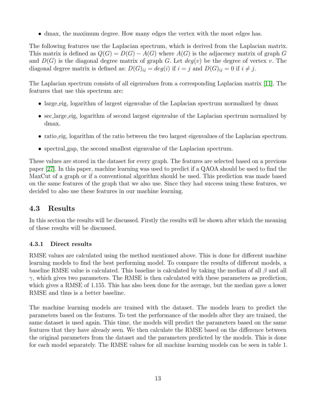• dmax, the maximum degree. How many edges the vertex with the most edges has.

The following features use the Laplacian spectrum, which is derived from the Laplacian matrix. This matrix is defined as  $Q(G) = D(G) - A(G)$  where  $A(G)$  is the adjacency matrix of graph G and  $D(G)$  is the diagonal degree matrix of graph G. Let  $deg(v)$  be the degree of vertex v. The diagonal degree matrix is defined as:  $D(G)_{ij} = deg(i)$  if  $i = j$  and  $D(G)_{ij} = 0$  if  $i \neq j$ .

The Laplacian spectrum consists of all eigenvalues from a corresponding Laplacian matrix [\[11\]](#page-24-12). The features that use this spectrum are:

- large eig, logarithm of largest eigenvalue of the Laplacian spectrum normalized by dmax
- sec\_large\_eig, logarithm of second largest eigenvalue of the Laplacian spectrum normalized by dmax.
- ratio eig, logarithm of the ratio between the two largest eigenvalues of the Laplacian spectrum.
- spectral gap, the second smallest eigenvalue of the Laplacian spectrum.

These values are stored in the dataset for every graph. The features are selected based on a previous paper [\[27\]](#page-25-13). In this paper, machine learning was used to predict if a QAOA should be used to find the MaxCut of a graph or if a conventional algorithm should be used. This prediction was made based on the same features of the graph that we also use. Since they had success using these features, we decided to also use these features in our machine learning.

### <span id="page-16-0"></span>4.3 Results

In this section the results will be discussed. Firstly the results will be shown after which the meaning of these results will be discussed.

### <span id="page-16-1"></span>4.3.1 Direct results

RMSE values are calculated using the method mentioned above. This is done for different machine learning models to find the best performing model. To compare the results of different models, a baseline RMSE value is calculated. This baseline is calculated by taking the median of all  $\beta$  and all  $\gamma$ , which gives two parameters. The RMSE is then calculated with these parameters as prediction, which gives a RMSE of 1.155. This has also been done for the average, but the median gave a lower RMSE and thus is a better baseline.

The machine learning models are trained with the dataset. The models learn to predict the parameters based on the features. To test the performance of the models after they are trained, the same dataset is used again. This time, the models will predict the parameters based on the same features that they have already seen. We then calculate the RMSE based on the difference between the original parameters from the dataset and the parameters predicted by the models. This is done for each model separately. The RMSE values for all machine learning models can be seen in table 1.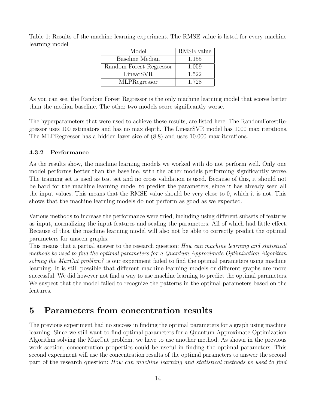Table 1: Results of the machine learning experiment. The RMSE value is listed for every machine learning model

| Model                   | RMSE value |
|-------------------------|------------|
| Baseline Median         | 1.155      |
| Random Forest Regressor | 1.059      |
| LinearSVR               | 1.522      |
| <b>MLPRegressor</b>     | 1.728      |

As you can see, the Random Forest Regressor is the only machine learning model that scores better than the median baseline. The other two models score significantly worse.

The hyperparameters that were used to achieve these results, are listed here. The RandomForestRegressor uses 100 estimators and has no max depth. The LinearSVR model has 1000 max iterations. The MLPRegressor has a hidden layer size of (8,8) and uses 10.000 max iterations.

### <span id="page-17-0"></span>4.3.2 Performance

As the results show, the machine learning models we worked with do not perform well. Only one model performs better than the baseline, with the other models performing significantly worse. The training set is used as test set and no cross validation is used. Because of this, it should not be hard for the machine learning model to predict the parameters, since it has already seen all the input values. This means that the RMSE value should be very close to 0, which it is not. This shows that the machine learning models do not perform as good as we expected.

Various methods to increase the performance were tried, including using different subsets of features as input, normalizing the input features and scaling the parameters. All of which had little effect. Because of this, the machine learning model will also not be able to correctly predict the optimal parameters for unseen graphs.

This means that a partial answer to the research question: How can machine learning and statistical methods be used to find the optimal parameters for a Quantum Approximate Optimization Algorithm solving the MaxCut problem? is our experiment failed to find the optimal parameters using machine learning. It is still possible that different machine learning models or different graphs are more successful. We did however not find a way to use machine learning to predict the optimal parameters. We suspect that the model failed to recognize the patterns in the optimal parameters based on the features.

## <span id="page-17-1"></span>5 Parameters from concentration results

The previous experiment had no success in finding the optimal parameters for a graph using machine learning. Since we still want to find optimal parameters for a Quantum Approximate Optimization Algorithm solving the MaxCut problem, we have to use another method. As shown in the previous work section, concentration properties could be useful in finding the optimal parameters. This second experiment will use the concentration results of the optimal parameters to answer the second part of the research question: How can machine learning and statistical methods be used to find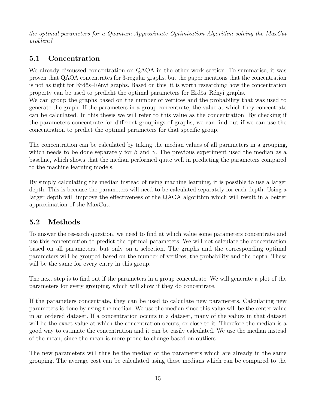the optimal parameters for a Quantum Approximate Optimization Algorithm solving the MaxCut problem?

## <span id="page-18-0"></span>5.1 Concentration

We already discussed concentration on QAOA in the other work section. To summarise, it was proven that QAOA concentrates for 3-regular graphs, but the paper mentions that the concentration is not as tight for Erdős–Rényi graphs. Based on this, it is worth researching how the concentration property can be used to predicht the optimal parameters for Erdős–Rényi graphs.

We can group the graphs based on the number of vertices and the probability that was used to generate the graph. If the parameters in a group concentrate, the value at which they concentrate can be calculated. In this thesis we will refer to this value as the concentration. By checking if the parameters concentrate for different groupings of graphs, we can find out if we can use the concentration to predict the optimal parameters for that specific group.

The concentration can be calculated by taking the median values of all parameters in a grouping, which needs to be done separately for  $\beta$  and  $\gamma$ . The previous experiment used the median as a baseline, which shows that the median performed quite well in predicting the parameters compared to the machine learning models.

By simply calculating the median instead of using machine learning, it is possible to use a larger depth. This is because the parameters will need to be calculated separately for each depth. Using a larger depth will improve the effectiveness of the QAOA algorithm which will result in a better approximation of the MaxCut.

### <span id="page-18-1"></span>5.2 Methods

To answer the research question, we need to find at which value some parameters concentrate and use this concentration to predict the optimal parameters. We will not calculate the concentration based on all parameters, but only on a selection. The graphs and the corresponding optimal parameters will be grouped based on the number of vertices, the probability and the depth. These will be the same for every entry in this group.

The next step is to find out if the parameters in a group concentrate. We will generate a plot of the parameters for every grouping, which will show if they do concentrate.

If the parameters concentrate, they can be used to calculate new parameters. Calculating new parameters is done by using the median. We use the median since this value will be the center value in an ordered dataset. If a concentration occurs in a dataset, many of the values in that dataset will be the exact value at which the concentration occurs, or close to it. Therefore the median is a good way to estimate the concentration and it can be easily calculated. We use the median instead of the mean, since the mean is more prone to change based on outliers.

The new parameters will thus be the median of the parameters which are already in the same grouping. The average cost can be calculated using these medians which can be compared to the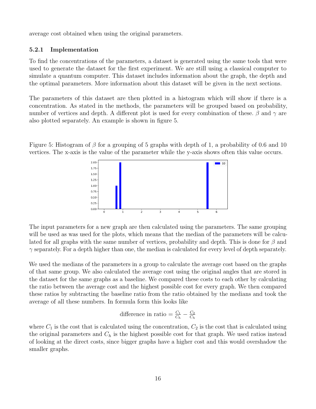average cost obtained when using the original parameters.

#### <span id="page-19-0"></span>5.2.1 Implementation

To find the concentrations of the parameters, a dataset is generated using the same tools that were used to generate the dataset for the first experiment. We are still using a classical computer to simulate a quantum computer. This dataset includes information about the graph, the depth and the optimal parameters. More information about this dataset will be given in the next sections.

The parameters of this dataset are then plotted in a histogram which will show if there is a concentration. As stated in the methods, the parameters will be grouped based on probability, number of vertices and depth. A different plot is used for every combination of these.  $\beta$  and  $\gamma$  are also plotted separately. An example is shown in figure 5.

Figure 5: Histogram of  $\beta$  for a grouping of 5 graphs with depth of 1, a probability of 0.6 and 10 vertices. The x-axis is the value of the parameter while the y-axis shows often this value occurs.



The input parameters for a new graph are then calculated using the parameters. The same grouping will be used as was used for the plots, which means that the median of the parameters will be calculated for all graphs with the same number of vertices, probability and depth. This is done for  $\beta$  and  $\gamma$  separately. For a depth higher than one, the median is calculated for every level of depth separately.

We used the medians of the parameters in a group to calculate the average cost based on the graphs of that same group. We also calculated the average cost using the original angles that are stored in the dataset for the same graphs as a baseline. We compared these costs to each other by calculating the ratio between the average cost and the highest possible cost for every graph. We then compared these ratios by subtracting the baseline ratio from the ratio obtained by the medians and took the average of all these numbers. In formula form this looks like

difference in ratio = 
$$
\frac{C_1}{C_h} - \frac{C_2}{C_h}
$$

where  $C_1$  is the cost that is calculated using the concentration,  $C_2$  is the cost that is calculated using the original parameters and  $C_h$  is the highest possible cost for that graph. We used ratios instead of looking at the direct costs, since bigger graphs have a higher cost and this would overshadow the smaller graphs.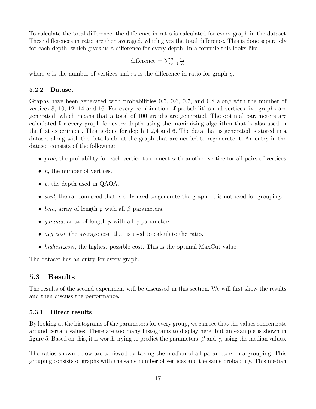To calculate the total difference, the difference in ratio is calculated for every graph in the dataset. These differences in ratio are then averaged, which gives the total difference. This is done separately for each depth, which gives us a difference for every depth. In a formule this looks like

difference = 
$$
\sum_{g=1}^{n} \frac{r_g}{n}
$$

where *n* is the number of vertices and  $r_q$  is the difference in ratio for graph g.

#### <span id="page-20-0"></span>5.2.2 Dataset

Graphs have been generated with probabilities 0.5, 0.6, 0.7, and 0.8 along with the number of vertices 8, 10, 12, 14 and 16. For every combination of probabilities and vertices five graphs are generated, which means that a total of 100 graphs are generated. The optimal parameters are calculated for every graph for every depth using the maximizing algorithm that is also used in the first experiment. This is done for depth 1,2,4 and 6. The data that is generated is stored in a dataset along with the details about the graph that are needed to regenerate it. An entry in the dataset consists of the following:

- prob, the probability for each vertice to connect with another vertice for all pairs of vertices.
- $n$ , the number of vertices.
- p, the depth used in QAOA.
- seed, the random seed that is only used to generate the graph. It is not used for grouping.
- beta, array of length p with all  $\beta$  parameters.
- gamma, array of length p with all  $\gamma$  parameters.
- $avg\_cost$ , the average cost that is used to calculate the ratio.
- highest cost, the highest possible cost. This is the optimal MaxCut value.

The dataset has an entry for every graph.

### <span id="page-20-1"></span>5.3 Results

The results of the second experiment will be discussed in this section. We will first show the results and then discuss the performance.

#### <span id="page-20-2"></span>5.3.1 Direct results

By looking at the histograms of the parameters for every group, we can see that the values concentrate around certain values. There are too many histograms to display here, but an example is shown in figure 5. Based on this, it is worth trying to predict the parameters,  $\beta$  and  $\gamma$ , using the median values.

The ratios shown below are achieved by taking the median of all parameters in a grouping. This grouping consists of graphs with the same number of vertices and the same probability. This median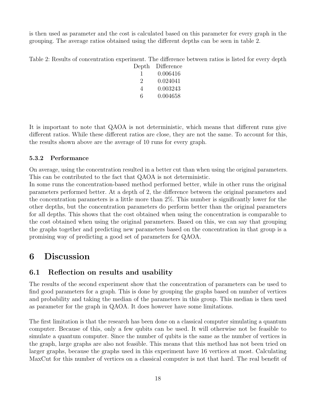is then used as parameter and the cost is calculated based on this parameter for every graph in the grouping. The average ratios obtained using the different depths can be seen in table 2.

Table 2: Results of concentration experiment. The difference between ratios is listed for every depth

| $\mathrm{Depth}$ | Difference |
|------------------|------------|
| I.               | 0.006416   |
| $\mathcal{D}$    | 0.024041   |
| 4                | 0.003243   |
| 6                | 0.004658   |

It is important to note that QAOA is not deterministic, which means that different runs give different ratios. While these different ratios are close, they are not the same. To account for this, the results shown above are the average of 10 runs for every graph.

### <span id="page-21-0"></span>5.3.2 Performance

On average, using the concentration resulted in a better cut than when using the original parameters. This can be contributed to the fact that QAOA is not deterministic.

In some runs the concentration-based method performed better, while in other runs the original parameters performed better. At a depth of 2, the difference between the original parameters and the concentration parameters is a little more than 2%. This number is significantly lower for the other depths, but the concentration parameters do perform better than the original parameters for all depths. This shows that the cost obtained when using the concentration is comparable to the cost obtained when using the original parameters. Based on this, we can say that grouping the graphs together and predicting new parameters based on the concentration in that group is a promising way of predicting a good set of parameters for QAOA.

## <span id="page-21-1"></span>6 Discussion

### <span id="page-21-2"></span>6.1 Reflection on results and usability

The results of the second experiment show that the concentration of parameters can be used to find good parameters for a graph. This is done by grouping the graphs based on number of vertices and probability and taking the median of the parameters in this group. This median is then used as parameter for the graph in QAOA. It does however have some limitations.

The first limitation is that the research has been done on a classical computer simulating a quantum computer. Because of this, only a few qubits can be used. It will otherwise not be feasible to simulate a quantum computer. Since the number of qubits is the same as the number of vertices in the graph, large graphs are also not feasible. This means that this method has not been tried on larger graphs, because the graphs used in this experiment have 16 vertices at most. Calculating MaxCut for this number of vertices on a classical computer is not that hard. The real benefit of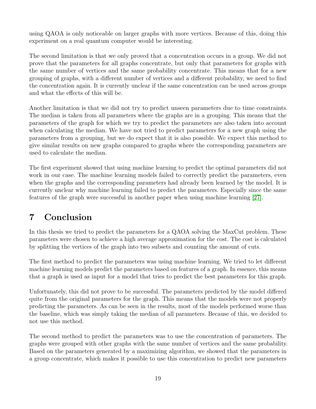using QAOA is only noticeable on larger graphs with more vertices. Because of this, doing this experiment on a real quantum computer would be interesting.

The second limitation is that we only proved that a concentration occurs in a group. We did not prove that the parameters for all graphs concentrate, but only that parameters for graphs with the same number of vertices and the same probability concentrate. This means that for a new grouping of graphs, with a different number of vertices and a different probability, we need to find the concentration again. It is currently unclear if the same concentration can be used across groups and what the effects of this will be.

Another limitation is that we did not try to predict unseen parameters due to time constraints. The median is taken from all parameters where the graphs are in a grouping. This means that the parameters of the graph for which we try to predict the parameters are also taken into account when calculating the median. We have not tried to predict parameters for a new graph using the parameters from a grouping, but we do expect that it is also possible. We expect this method to give similar results on new graphs compared to graphs where the corresponding parameters are used to calculate the median.

The first experiment showed that using machine learning to predict the optimal parameters did not work in our case. The machine learning models failed to correctly predict the parameters, even when the graphs and the corresponding parameters had already been learned by the model. It is currently unclear why machine learning failed to predict the parameters. Especially since the same features of the graph were successful in another paper when using machine learning [\[27\]](#page-25-13).

## <span id="page-22-0"></span>7 Conclusion

In this thesis we tried to predict the parameters for a QAOA solving the MaxCut problem. These parameters were chosen to achieve a high average approximation for the cost. The cost is calculated by splitting the vertices of the graph into two subsets and counting the amount of cuts.

The first method to predict the parameters was using machine learning. We tried to let different machine learning models predict the parameters based on features of a graph. In essence, this means that a graph is used as input for a model that tries to predict the best parameters for this graph.

Unfortunately, this did not prove to be successful. The parameters predicted by the model differed quite from the original parameters for the graph. This means that the models were not properly predicting the parameters. As can be seen in the results, most of the models performed worse than the baseline, which was simply taking the median of all parameters. Because of this, we decided to not use this method.

The second method to predict the parameters was to use the concentration of parameters. The graphs were grouped with other graphs with the same number of vertices and the same probability. Based on the parameters generated by a maximizing algorithm, we showed that the parameters in a group concentrate, which makes it possible to use this concentration to predict new parameters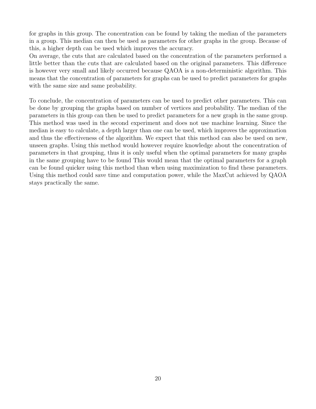for graphs in this group. The concentration can be found by taking the median of the parameters in a group. This median can then be used as parameters for other graphs in the group. Because of this, a higher depth can be used which improves the accuracy.

On average, the cuts that are calculated based on the concentration of the parameters performed a little better than the cuts that are calculated based on the original parameters. This difference is however very small and likely occurred because QAOA is a non-deterministic algorithm. This means that the concentration of parameters for graphs can be used to predict parameters for graphs with the same size and same probability.

To conclude, the concentration of parameters can be used to predict other parameters. This can be done by grouping the graphs based on number of vertices and probability. The median of the parameters in this group can then be used to predict parameters for a new graph in the same group. This method was used in the second experiment and does not use machine learning. Since the median is easy to calculate, a depth larger than one can be used, which improves the approximation and thus the effectiveness of the algorithm. We expect that this method can also be used on new, unseen graphs. Using this method would however require knowledge about the concentration of parameters in that grouping, thus it is only useful when the optimal parameters for many graphs in the same grouping have to be found This would mean that the optimal parameters for a graph can be found quicker using this method than when using maximization to find these parameters. Using this method could save time and computation power, while the MaxCut achieved by QAOA stays practically the same.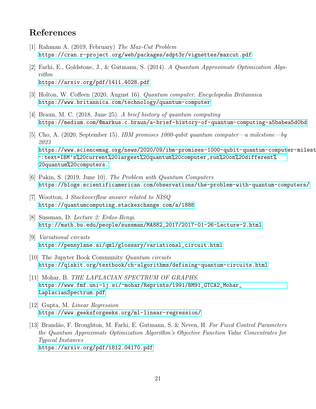## References

- <span id="page-24-5"></span>[1] Rahman A. (2019, February) The Max-Cut Problem <https://cran.r-project.org/web/packages/sdpt3r/vignettes/maxcut.pdf>
- <span id="page-24-9"></span>[2] Farhi, E., Goldstone, J., & Gutmann, S. (2014). A Quantum Approximate Optimization Algorithm <https://arxiv.org/pdf/1411.4028.pdf>
- <span id="page-24-1"></span>[3] Holton, W. Coffeen (2020, August 16). Quantum computer. Encyclopedia Britannica <https://www.britannica.com/technology/quantum-computer>
- <span id="page-24-0"></span>[4] Braun, M. C. (2018, June 25). A brief history of quantum computing <https://medium.com/@markus.c.braun/a-brief-history-of-quantum-computing-a5babea5d0bd>
- <span id="page-24-2"></span>[5] Cho, A. (2020, September 15). IBM promises 1000-qubit quantum computer—a milestone—by 2023 [https://www.sciencemag.org/news/2020/09/ibm-promises-1000-qubit-quantum-comput](https://www.sciencemag.org/news/2020/09/ibm-promises-1000-qubit-quantum-computer-milestone-2023#:~:text=IBM)er-milest [~:text=IBM's%20current%20largest%20quantum%20computer,run%20on%20different%](https://www.sciencemag.org/news/2020/09/ibm-promises-1000-qubit-quantum-computer-milestone-2023#:~:text=IBM) [20quantum%20computers.](https://www.sciencemag.org/news/2020/09/ibm-promises-1000-qubit-quantum-computer-milestone-2023#:~:text=IBM)
- <span id="page-24-3"></span>[6] Pakin, S. (2019, June 10). The Problem with Quantum Computers <https://blogs.scientificamerican.com/observations/the-problem-with-quantum-computers/>
- <span id="page-24-4"></span>[7] Wootton, J Stackoverflow answer related to NISQ <https://quantumcomputing.stackexchange.com/a/1888>
- <span id="page-24-6"></span>[8] Sussman, D. Lecture 2: Erdos-Renyi. [http://math.bu.edu/people/sussman/MA882\\_2017/2017-01-26-Lecture-2.html](http://math.bu.edu/people/sussman/MA882_2017/2017-01-26-Lecture-2.html)
- <span id="page-24-7"></span>[9] Variational circuits [https://pennylane.ai/qml/glossary/variational\\_circuit.html](https://pennylane.ai/qml/glossary/variational_circuit.html)
- <span id="page-24-8"></span>[10] The Jupyter Book Community Quantum circuits <https://qiskit.org/textbook/ch-algorithms/defining-quantum-circuits.html>
- <span id="page-24-12"></span>[11] Mohar, B. THE LAPLACIAN SPECTRUM OF GRAPHS. [https://www.fmf.uni-lj.si/~mohar/Reprints/1991/BM91\\_GTCA2\\_Mohar\\_](https://www.fmf.uni-lj.si/~mohar/Reprints/1991/BM91_GTCA2_Mohar_LaplacianSpectrum.pdf) [LaplacianSpectrum.pdf](https://www.fmf.uni-lj.si/~mohar/Reprints/1991/BM91_GTCA2_Mohar_LaplacianSpectrum.pdf)
- <span id="page-24-10"></span>[12] Gupta, M. Linear Regression <https://www.geeksforgeeks.org/ml-linear-regression/>

<span id="page-24-11"></span>[13] Brandão, F. Broughton, M. Farhi, E. Gutmann, S. & Neven, H. For Fixed Control Parameters the Quantum Approximate Optimization Algorithm's Objective Function Value Concentrates for Typical Instances <https://arxiv.org/pdf/1812.04170.pdf>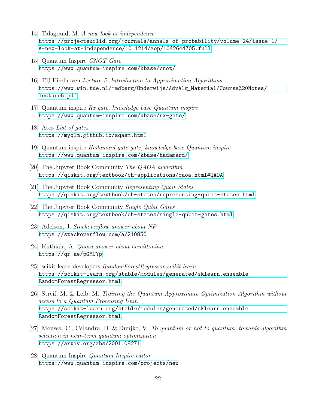- [14] Talagrand, M. A new look at independence [https://projecteuclid.org/journals/annals-of-probability/volume-24/issue-1/](https://projecteuclid.org/journals/annals-of-probability/volume-24/issue-1/A-new-look-at-independence/10.1214/aop/1042644705.full) [A-new-look-at-independence/10.1214/aop/1042644705.full](https://projecteuclid.org/journals/annals-of-probability/volume-24/issue-1/A-new-look-at-independence/10.1214/aop/1042644705.full)
- <span id="page-25-5"></span>[15] Quantum Inspire CNOT Gate <https://www.quantum-inspire.com/kbase/cnot/>
- <span id="page-25-1"></span>[16] TU Eindhoven Lecture 5: Introduction to Approximation Algorithms [https://www.win.tue.nl/~mdberg/Onderwijs/AdvAlg\\_Material/Course%20Notes/](https://www.win.tue.nl/~mdberg/Onderwijs/AdvAlg_Material/Course%20Notes/lecture5.pdf) [lecture5.pdf](https://www.win.tue.nl/~mdberg/Onderwijs/AdvAlg_Material/Course%20Notes/lecture5.pdf)
- <span id="page-25-6"></span>[17] Quantum inspire Rx gate, knowledge base Quantum inspire <https://www.quantum-inspire.com/kbase/rx-gate/>
- <span id="page-25-7"></span>[18] Atos List of gates <https://myqlm.github.io/aqasm.html>
- <span id="page-25-4"></span>[19] Quantum inspire Hadamard gate gate, knowledge base Quantum inspire <https://www.quantum-inspire.com/kbase/hadamard/>
- <span id="page-25-10"></span>[20] The Jupyter Book Community The QAOA algorithm <https://qiskit.org/textbook/ch-applications/qaoa.html#QAOA>
- <span id="page-25-2"></span>[21] The Jupyter Book Community Representing Qubit States <https://qiskit.org/textbook/ch-states/representing-qubit-states.html>
- <span id="page-25-3"></span>[22] The Jupyter Book Community Single Qubit Gates <https://qiskit.org/textbook/ch-states/single-qubit-gates.html>
- <span id="page-25-0"></span>[23] Adelson, J. Stackoverflow answer about NP <https://stackoverflow.com/a/210850>
- <span id="page-25-9"></span>[24] Kuthiala, A. Quora answer about hamiltonian <https://qr.ae/pGMUYp>
- <span id="page-25-11"></span>[25] scikit-learn developers RandomForestRegressor scikit-learn [https://scikit-learn.org/stable/modules/generated/sklearn.ensemble.](https://scikit-learn.org/stable/modules/generated/sklearn.ensemble.RandomForestRegressor.html) [RandomForestRegressor.html](https://scikit-learn.org/stable/modules/generated/sklearn.ensemble.RandomForestRegressor.html)
- <span id="page-25-12"></span>[26] Streif, M. & Leib, M. Training the Quantum Approximate Optimization Algorithm without access to a Quantum Processing Unit. [https://scikit-learn.org/stable/modules/generated/sklearn.ensemble.](https://scikit-learn.org/stable/modules/generated/sklearn.ensemble.RandomForestRegressor.html) [RandomForestRegressor.html](https://scikit-learn.org/stable/modules/generated/sklearn.ensemble.RandomForestRegressor.html)
- <span id="page-25-13"></span>[27] Moussa, C., Calandra, H. & Dunjko, V. To quantum or not to quantum: towards algorithm selection in near-term quantum optimization <https://arxiv.org/abs/2001.08271>
- <span id="page-25-8"></span>[28] Quantum Inspire Quantum Inspire editor <https://www.quantum-inspire.com/projects/new>